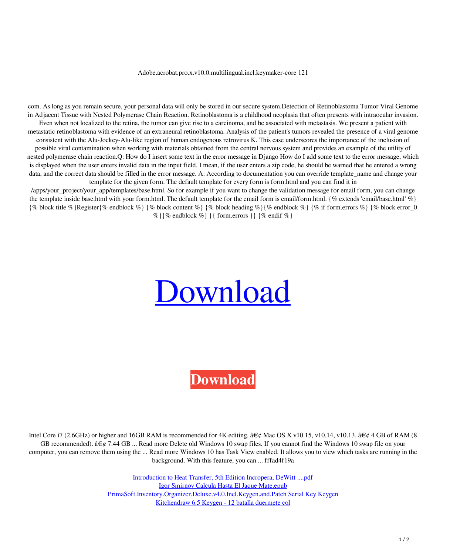Adobe.acrobat.pro.x.v10.0.multilingual.incl.keymaker-core 121

com. As long as you remain secure, your personal data will only be stored in our secure system.Detection of Retinoblastoma Tumor Viral Genome in Adjacent Tissue with Nested Polymerase Chain Reaction. Retinoblastoma is a childhood neoplasia that often presents with intraocular invasion. Even when not localized to the retina, the tumor can give rise to a carcinoma, and be associated with metastasis. We present a patient with metastatic retinoblastoma with evidence of an extraneural retinoblastoma. Analysis of the patient's tumors revealed the presence of a viral genome consistent with the Alu-Jockey-Alu-like region of human endogenous retrovirus K. This case underscores the importance of the inclusion of possible viral contamination when working with materials obtained from the central nervous system and provides an example of the utility of nested polymerase chain reaction.Q: How do I insert some text in the error message in Django How do I add some text to the error message, which is displayed when the user enters invalid data in the input field. I mean, if the user enters a zip code, he should be warned that he entered a wrong data, and the correct data should be filled in the error message. A: According to documentation you can override template\_name and change your template for the given form. The default template for every form is form.html and you can find it in

/apps/your\_project/your\_app/templates/base.html. So for example if you want to change the validation message for email form, you can change the template inside base.html with your form.html. The default template for the email form is email/form.html. {% extends 'email/base.html' %} {% block title %}Register{% endblock %} {% block content %} {% block heading %}{% endblock %} {% if form.errors %} {% block error\_0 %}{% endblock %} {{ form.errors }} {% endif %}



## **[Download](http://evacdir.com/appearance/childbirth/QWRvYmUuYWNyb2JhdC5wcm8ueC52MTAuMC5tdWx0aWxpbmd1YWwuaW5jbC5rZXltYWtlci1jb3JlIDEyMQQWR/ZG93bmxvYWR8b0w4Tm05bWZId3hOalV5TkRZek1EVXdmSHd5TlRjMGZId29UU2tnY21WaFpDMWliRzluSUZ0R1lYTjBJRWRGVGww?procrastinate=fruitier=degeneration=frappuccino)**

Intel Core i7 (2.6GHz) or higher and 16GB RAM is recommended for 4K editing.  $\hat{a} \in \varphi$  Mac OS X v10.15, v10.13, v10.13.  $\hat{a} \in \varphi$  4 GB of RAM (8 GB recommended).  $\hat{a} \in \mathcal{C}$  7.44 GB ... Read more Delete old Windows 10 swap files. If you cannot find the Windows 10 swap file on your computer, you can remove them using the ... Read more Windows 10 has Task View enabled. It allows you to view which tasks are running in the background. With this feature, you can ... fffad4f19a

> [Introduction to Heat Transfer, 5th Edition Incropera, DeWitt ....pdf](https://docs.google.com/viewerng/viewer?url=www.realteqs.com/teqsplus/upload/files/2022/05/LeVOPtuiPQ9ieKUJHsAP_13_704d0fe1939b51c2438f54e9edf38bcb_file.pdf) [Igor Smirnov Calcula Hasta El Jaque Mate.epub](https://docs.google.com/viewerng/viewer?url=www.afrogoatinc.com/upload/files/2022/05/KmGZb6vP7OGNmfovjOKV_13_f5c3b69e23ab28a6d080702e0d78318a_file.pdf) [PrimaSoft.Inventory.Organizer.Deluxe.v4.0.Incl.Keygen.and.Patch Serial Key Keygen](https://docs.google.com/viewerng/viewer?url=travelwithme.social/upload/files/2022/05/pEF1oviuJZFBpkZOEePp_13_f5c3b69e23ab28a6d080702e0d78318a_file.pdf) [Kitchendraw 6.5 Keygen - 12 batalla duermete col](https://docs.google.com/viewerng/viewer?url=everyonezone.com/upload/files/2022/05/HjI7xDPt3A35QyqIw4YD_13_e5044f855fc8bdb2569d9fde3824c615_file.pdf)